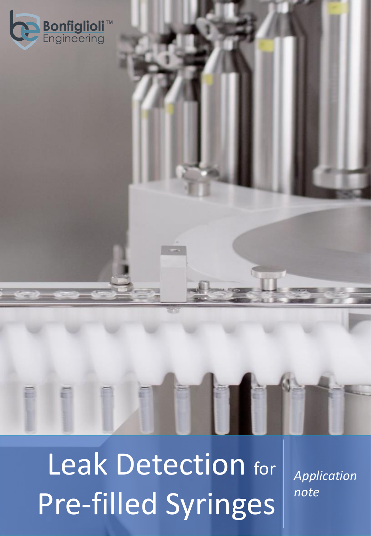



Leak Detection for Pre-filled Syringes

*Application note*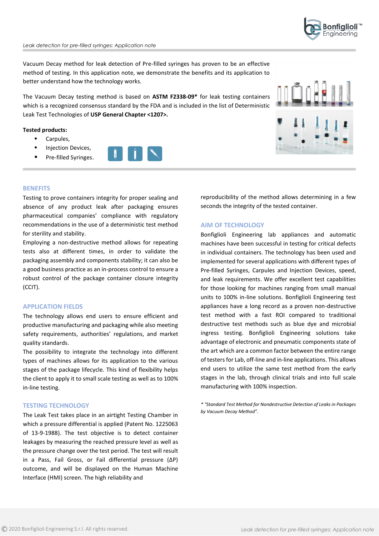

Vacuum Decay method for leak detection of Pre-filled syringes has proven to be an effective method of testing. In this application note, we demonstrate the benefits and its application to better understand how the technology works.

The Vacuum Decay testing method is based on **ASTM F2338-09\*** for leak testing containers which is a recognized consensus standard by the FDA and is included in the list of Deterministic Leak Test Technologies of **USP General Chapter <1207>.**

## **Tested products:**

- Carpules,
- **Injection Devices,**
- Pre-filled Syringes.





### **BENEFITS**

Testing to prove containers integrity for proper sealing and absence of any product leak after packaging ensures pharmaceutical companies' compliance with regulatory recommendations in the use of a deterministic test method for sterility and stability.

Employing a non-destructive method allows for repeating tests also at different times, in order to validate the packaging assembly and components stability; it can also be a good business practice as an in-process control to ensure a robust control of the package container closure integrity (CCIT).

## **APPLICATION FIELDS**

The technology allows end users to ensure efficient and productive manufacturing and packaging while also meeting safety requirements, authorities' regulations, and market quality standards.

The possibility to integrate the technology into different types of machines allows for its application to the various stages of the package lifecycle. This kind of flexibility helps the client to apply it to small scale testing as well as to 100% in-line testing.

# **TESTING TECHNOLOGY**

The Leak Test takes place in an airtight Testing Chamber in which a pressure differential is applied (Patent No. 1225063 of 13-9-1988). The test objective is to detect container leakages by measuring the reached pressure level as well as the pressure change over the test period. The test will result in a Pass, Fail Gross, or Fail differential pressure (ΔP) outcome, and will be displayed on the Human Machine Interface (HMI) screen. The high reliability and

reproducibility of the method allows determining in a few seconds the integrity of the tested container.

## **AIM OF TECHNOLOGY**

Bonfiglioli Engineering lab appliances and automatic machines have been successful in testing for critical defects in individual containers. The technology has been used and implemented for several applications with different types of Pre-filled Syringes, Carpules and Injection Devices, speed, and leak requirements. We offer excellent test capabilities for those looking for machines ranging from small manual units to 100% in-line solutions. Bonfiglioli Engineering test appliances have a long record as a proven non-destructive test method with a fast ROI compared to traditional destructive test methods such as blue dye and microbial ingress testing. Bonfiglioli Engineering solutions take advantage of electronic and pneumatic components state of the art which are a common factor between the entire range of testers for Lab, off-line and in-line applications. This allows end users to utilize the same test method from the early stages in the lab, through clinical trials and into full scale manufacturing with 100% inspection.

*\* "Standard Test Method for Nondestructive Detection of Leaks in Packages by Vacuum Decay Method".*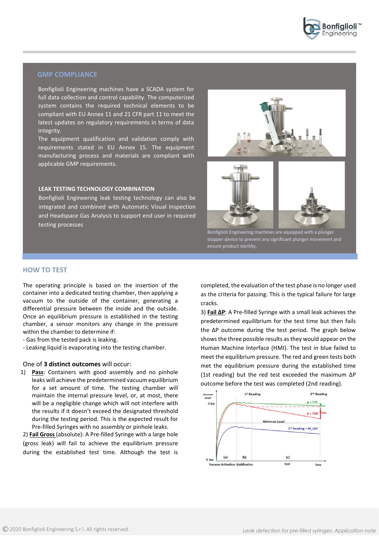

# **GMP COMPLIANCE**

Bonfiglioli Engineering machines have a SCADA system for full data collection and control capability. The computerized system contains the required technical elements to be compliant with EU Annex 11 and 21 CFR part 11 to meet the latest updates on regulatory requirements in terms of data integrity.

The equipment qualification and validation comply with requirements stated in EU Annex 15. The equipment manufacturing process and materials are compliant with applicable GMP requirements.

### **LEAK TESTING TECHNOLOGY COMBINATION**

Bonfiglioli Engineering leak testing technology can also be integrated and combined with Automatic Visual Inspection and Headspace Gas Analysis to support end user in required testing processes



stopper device to prevent any significant plunger movement and ensure product sterility.

# **HOW TO TEST**

The operating principle is based on the insertion of the container into a dedicated testing chamber, then applying a vacuum to the outside of the container, generating a differential pressure between the inside and the outside. Once an equilibrium pressure is established in the testing chamber, a sensor monitors any change in the pressure within the chamber to determine if:

- Gas from the tested pack is leaking.
- Leaking liquid is evaporating into the testing chamber.

### One of **3 distinct outcomes** will occur:

1) **Pass**: Containers with good assembly and no pinhole leaks will achieve the predetermined vacuum equilibrium for a set amount of time. The testing chamber will maintain the internal pressure level, or, at most, there will be a negligible change which will not interfere with the results if it doesn't exceed the designated threshold during the testing period. This is the expected result for Pre-filled Syringes with no assembly or pinhole leaks.

2) **Fail Gross** (absolute): A Pre-filled Syringe with a large hole (gross leak) will fail to achieve the equilibrium pressure during the established test time. Although the test is

completed, the evaluation of the test phase is no longer used as the criteria for passing. This is the typical failure for large cracks.

3) **Fail ΔP**: A Pre-filled Syringe with a small leak achieves the predetermined equilibrium for the test time but then fails the ΔP outcome during the test period. The graph below shows the three possible results as they would appear on the Human Machine Interface (HMI). The test in blue failed to meet the equilibrium pressure. The red and green tests both met the equilibrium pressure during the established time (1st reading) but the red test exceeded the maximum ΔP outcome before the test was completed (2nd reading).